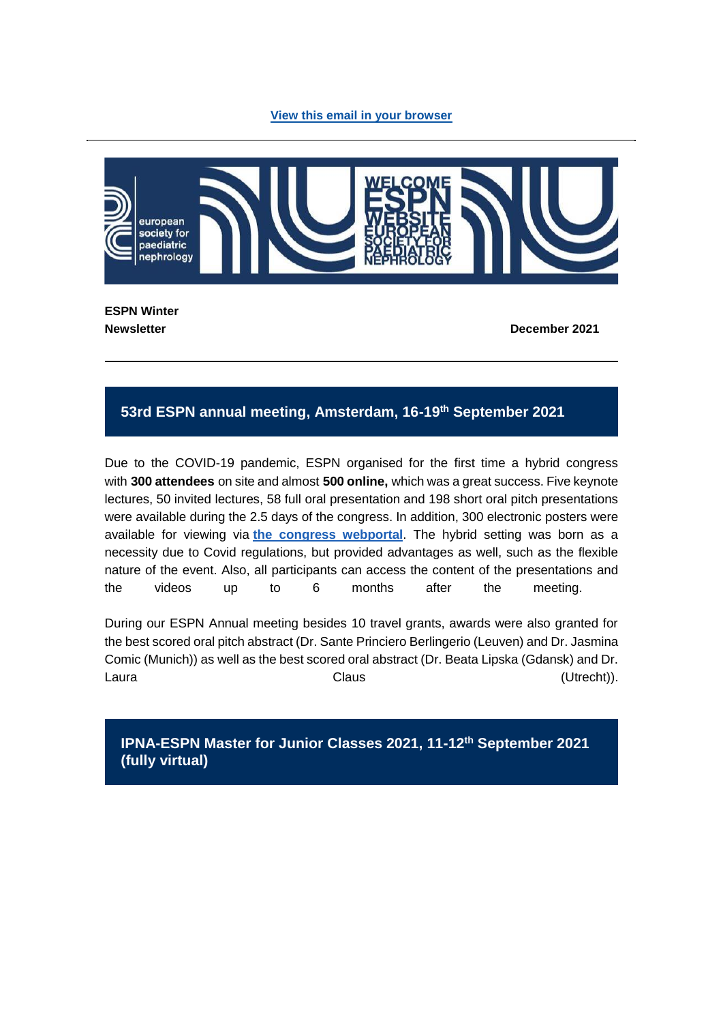**[View this email in your browser](https://us12.campaign-archive.com/?e=%5bUNIQID%5d&u=a8187d9fd357aeb9a3336eec0&id=fc28b9dfa2)**



**ESPN Winter** 

**Newsletter December 2021**

#### **53rd ESPN annual meeting, Amsterdam, 16-19th September 2021**

Due to the COVID-19 pandemic, ESPN organised for the first time a hybrid congress with **300 attendees** on site and almost **500 online,** which was a great success. Five keynote lectures, 50 invited lectures, 58 full oral presentation and 198 short oral pitch presentations were available during the 2.5 days of the congress. In addition, 300 electronic posters were available for viewing via **[the congress webportal](https://www.espn2021.org/live/login.php?m=987)**. The hybrid setting was born as a necessity due to Covid regulations, but provided advantages as well, such as the flexible nature of the event. Also, all participants can access the content of the presentations and the videos up to 6 months after the meeting.

During our ESPN Annual meeting besides 10 travel grants, awards were also granted for the best scored oral pitch abstract (Dr. Sante Princiero Berlingerio (Leuven) and Dr. Jasmina Comic (Munich)) as well as the best scored oral abstract (Dr. Beata Lipska (Gdansk) and Dr. Laura (Utrecht). Claus Claus (Utrecht).

**IPNA-ESPN Master for Junior Classes 2021, 11-12th September 2021 (fully virtual)**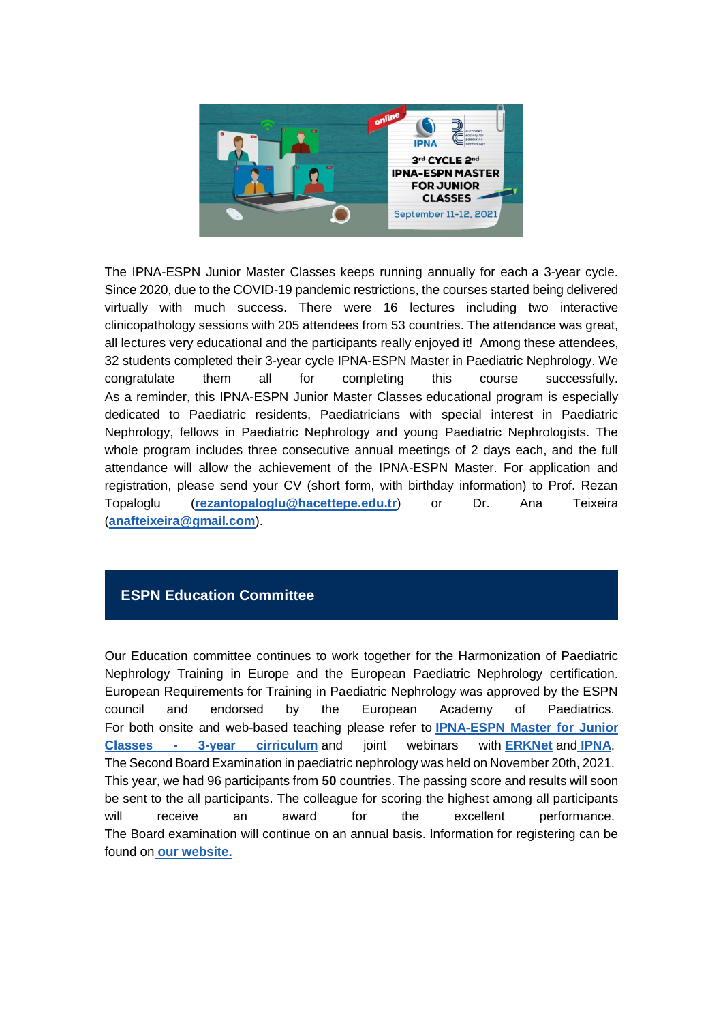

The IPNA-ESPN Junior Master Classes keeps running annually for each a 3-year cycle. Since 2020, due to the COVID-19 pandemic restrictions, the courses started being delivered virtually with much success. There were 16 lectures including two interactive clinicopathology sessions with 205 attendees from 53 countries. The attendance was great, all lectures very educational and the participants really enjoyed it! Among these attendees, 32 students completed their 3-year cycle IPNA-ESPN Master in Paediatric Nephrology. We congratulate them all for completing this course successfully. As a reminder, this IPNA-ESPN Junior Master Classes educational program is especially dedicated to Paediatric residents, Paediatricians with special interest in Paediatric Nephrology, fellows in Paediatric Nephrology and young Paediatric Nephrologists. The whole program includes three consecutive annual meetings of 2 days each, and the full attendance will allow the achievement of the IPNA-ESPN Master. For application and registration, please send your CV (short form, with birthday information) to Prof. Rezan Topaloglu (**[rezantopaloglu@hacettepe.edu.tr](mailto:rezantopaloglu@hacettepe.edu.tr)**) or Dr. Ana Teixeira (**[anafteixeira@gmail.com](mailto:anafteixeira@gmail.com)**).

## **ESPN Education Committee**

Our Education committee continues to work together for the Harmonization of Paediatric Nephrology Training in Europe and the European Paediatric Nephrology certification. European Requirements for Training in Paediatric Nephrology was approved by the ESPN council and endorsed by the European Academy of Paediatrics. For both onsite and web-based teaching please refer to **[IPNA-ESPN Master for Junior](https://www.espn-online.org/ipna-espn-junior-class/previous-espn-ipna-master-for-junior-classes-cycle/)  Classes - [3-year cirriculum](https://www.espn-online.org/ipna-espn-junior-class/previous-espn-ipna-master-for-junior-classes-cycle/)** and joint webinars with **[ERKNet](https://www.erknet.org/education-training/next-webinars)** and **[IPNA](https://theipna.org/webinars/)**. The Second Board Examination in paediatric nephrology was held on November 20th, 2021. This year, we had 96 participants from **50** countries. The passing score and results will soon be sent to the all participants. The colleague for scoring the highest among all participants will receive an award for the excellent performance. The Board examination will continue on an annual basis. Information for registering can be found on **our [website.](https://www.espn-online.org/espn-board-examination/)**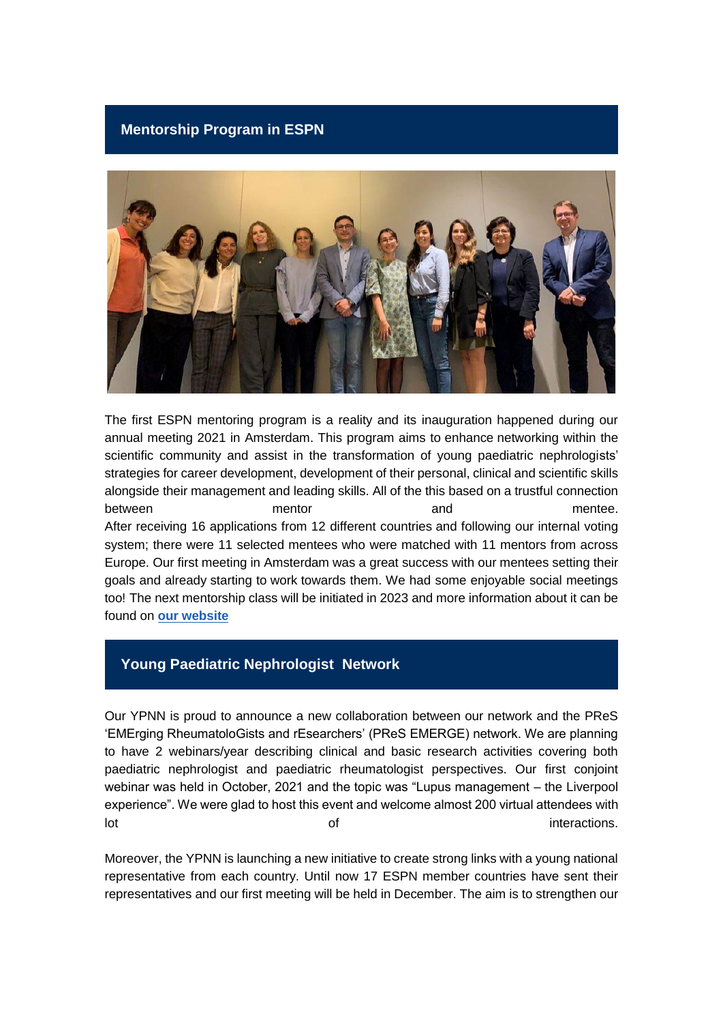#### **Mentorship Program in ESPN**



The first ESPN mentoring program is a reality and its inauguration happened during our annual meeting 2021 in Amsterdam. This program aims to enhance networking within the scientific community and assist in the transformation of young paediatric nephrologists' strategies for career development, development of their personal, clinical and scientific skills alongside their management and leading skills. All of the this based on a trustful connection between mentor mentor and mentee. After receiving 16 applications from 12 different countries and following our internal voting system; there were 11 selected mentees who were matched with 11 mentors from across Europe. Our first meeting in Amsterdam was a great success with our mentees setting their goals and already starting to work towards them. We had some enjoyable social meetings too! The next mentorship class will be initiated in 2023 and more information about it can be found on **[our website](https://www.espn-online.org/espn-mentoring-program/)**

#### **Young Paediatric Nephrologist Network**

Our YPNN is proud to announce a new collaboration between our network and the PReS 'EMErging RheumatoloGists and rEsearchers' (PReS EMERGE) network. We are planning to have 2 webinars/year describing clinical and basic research activities covering both paediatric nephrologist and paediatric rheumatologist perspectives. Our first conjoint webinar was held in October, 2021 and the topic was "Lupus management – the Liverpool experience". We were glad to host this event and welcome almost 200 virtual attendees with lot **lot** of **interactions.** 

Moreover, the YPNN is launching a new initiative to create strong links with a young national representative from each country. Until now 17 ESPN member countries have sent their representatives and our first meeting will be held in December. The aim is to strengthen our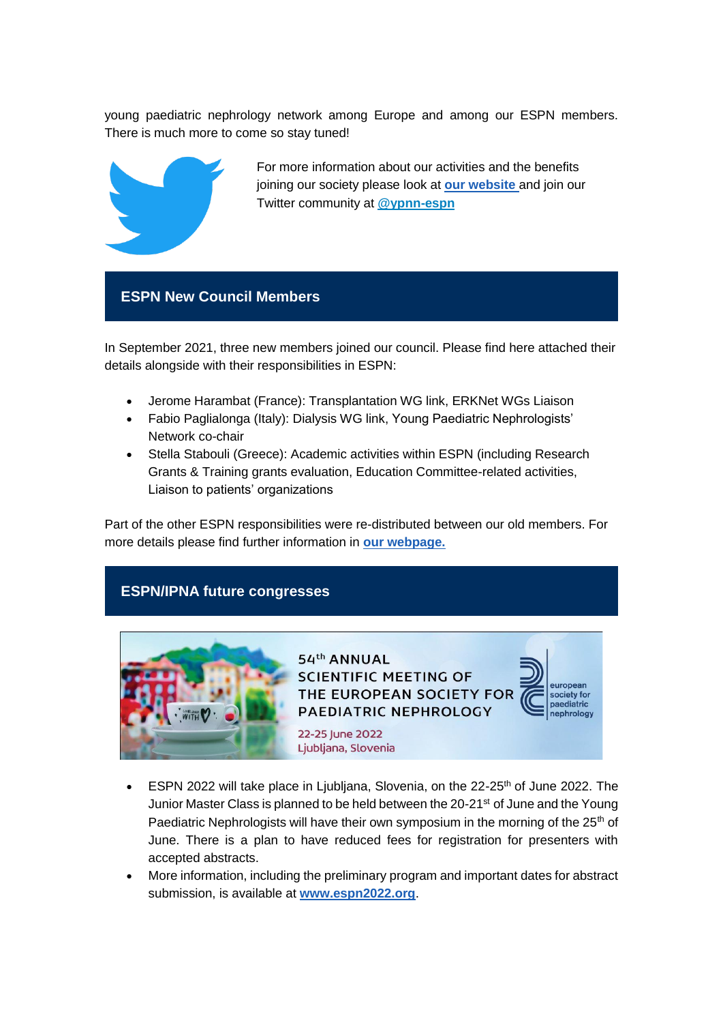young paediatric nephrology network among Europe and among our ESPN members. There is much more to come so stay tuned!



For more information about our activities and the benefits joining our society please look at **[our website](https://www.espn-online.org/young-nephrologists-platform/)** and join our Twitter community at **[@ypnn-espn](https://twitter.com/EspnYpnn)**

#### **ESPN New Council Members**

In September 2021, three new members joined our council. Please find here attached their details alongside with their responsibilities in ESPN:

- Jerome Harambat (France): Transplantation WG link, ERKNet WGs Liaison
- Fabio Paglialonga (Italy): Dialysis WG link, Young Paediatric Nephrologists' Network co-chair
- Stella Stabouli (Greece): Academic activities within ESPN (including Research Grants & Training grants evaluation, Education Committee-related activities, Liaison to patients' organizations

Part of the other ESPN responsibilities were re-distributed between our old members. For more details please find further information in **[our webpage.](https://www.espn-online.org/espn-council/)**

## **ESPN/IPNA future congresses**



54th ANNUAL **SCIENTIFIC MEETING OF** THE EUROPEAN SOCIETY FOR PAEDIATRIC NEPHROLOGY

european

society for **naediatric** 

nephrology

22-25 June 2022 Ljubljana, Slovenia

- ESPN 2022 will take place in Ljubljana, Slovenia, on the 22-25<sup>th</sup> of June 2022. The Junior Master Class is planned to be held between the 20-21<sup>st</sup> of June and the Young Paediatric Nephrologists will have their own symposium in the morning of the  $25<sup>th</sup>$  of June. There is a plan to have reduced fees for registration for presenters with accepted abstracts.
- More information, including the preliminary program and important dates for abstract submission, is available at **[www.espn2022.org](http://www.espn2022.org/)**.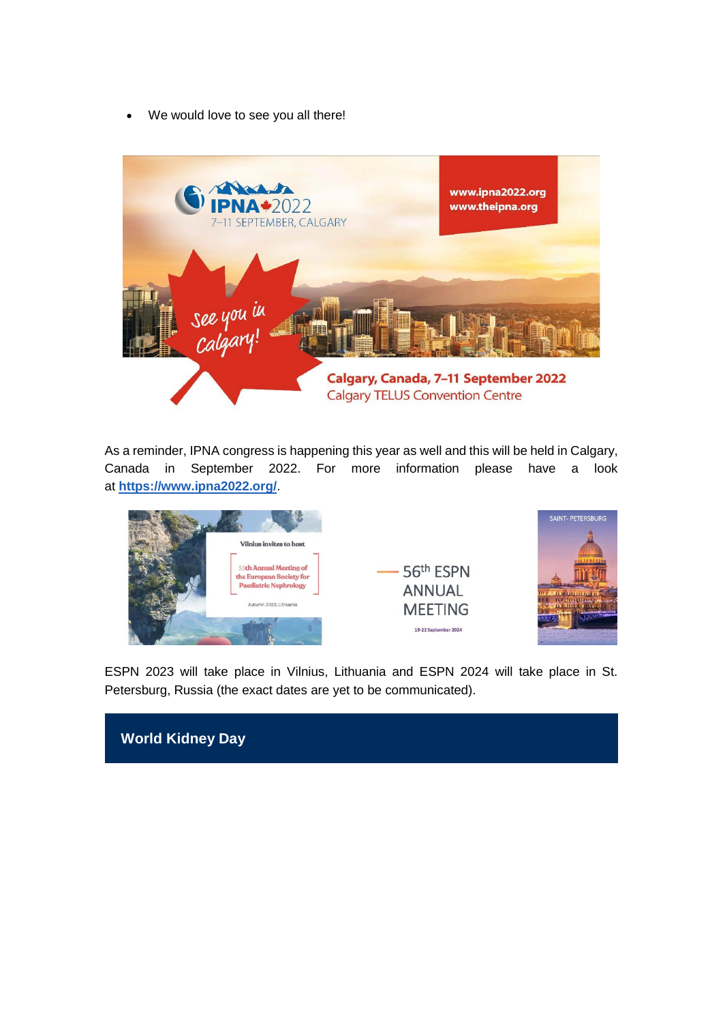We would love to see you all there!



As a reminder, IPNA congress is happening this year as well and this will be held in Calgary, Canada in September 2022. For more information please have a look at **<https://www.ipna2022.org/>**.



ESPN 2023 will take place in Vilnius, Lithuania and ESPN 2024 will take place in St. Petersburg, Russia (the exact dates are yet to be communicated).

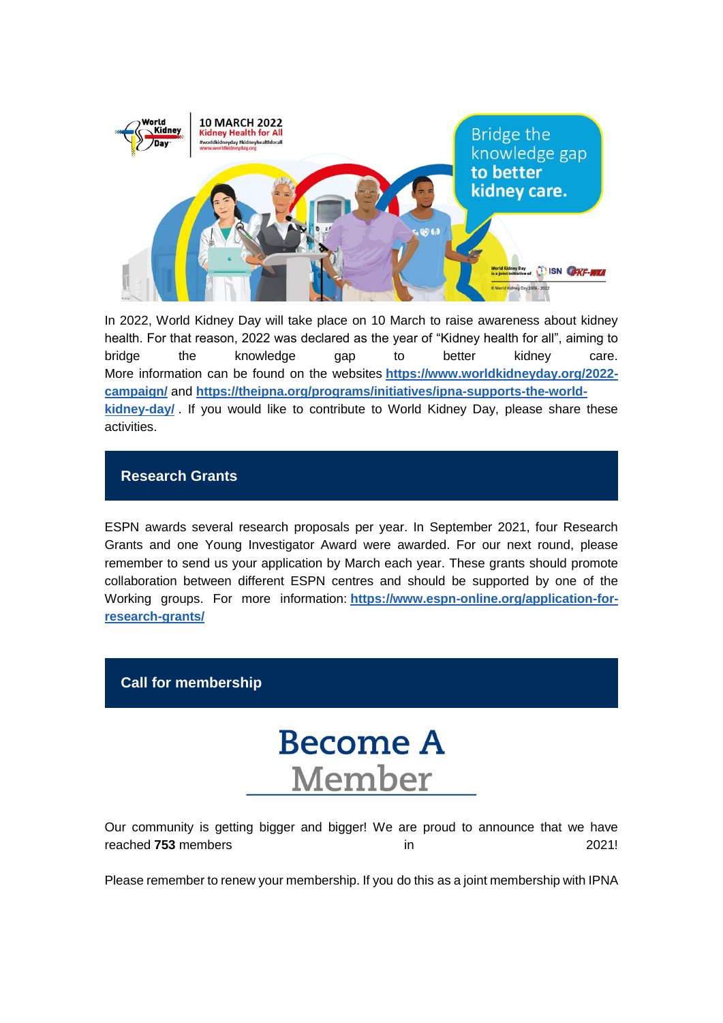

In 2022, World Kidney Day will take place on 10 March to raise awareness about kidney health. For that reason, 2022 was declared as the year of "Kidney health for all", aiming to bridge the knowledge gap to better kidney care. More information can be found on the websites **[https://www.worldkidneyday.org/2022](https://www.worldkidneyday.org/2022-campaign/) [campaign/](https://www.worldkidneyday.org/2022-campaign/)** and **[https://theipna.org/programs/initiatives/ipna-supports-the-world](https://theipna.org/programs/initiatives/ipna-supports-the-world-kidney-day/)[kidney-day/](https://theipna.org/programs/initiatives/ipna-supports-the-world-kidney-day/)** . If you would like to contribute to World Kidney Day, please share these activities.

#### **Research Grants**

ESPN awards several research proposals per year. In September 2021, four Research Grants and one Young Investigator Award were awarded. For our next round, please remember to send us your application by March each year. These grants should promote collaboration between different ESPN centres and should be supported by one of the Working groups. For more information: **[https://www.espn-online.org/application-for](https://www.espn-online.org/application-for-research-grants/)[research-grants/](https://www.espn-online.org/application-for-research-grants/)**

#### **Call for membership**

# **Become A** Member

Our community is getting bigger and bigger! We are proud to announce that we have reached **753** members in 2021!

Please remember to renew your membership. If you do this as a joint membership with IPNA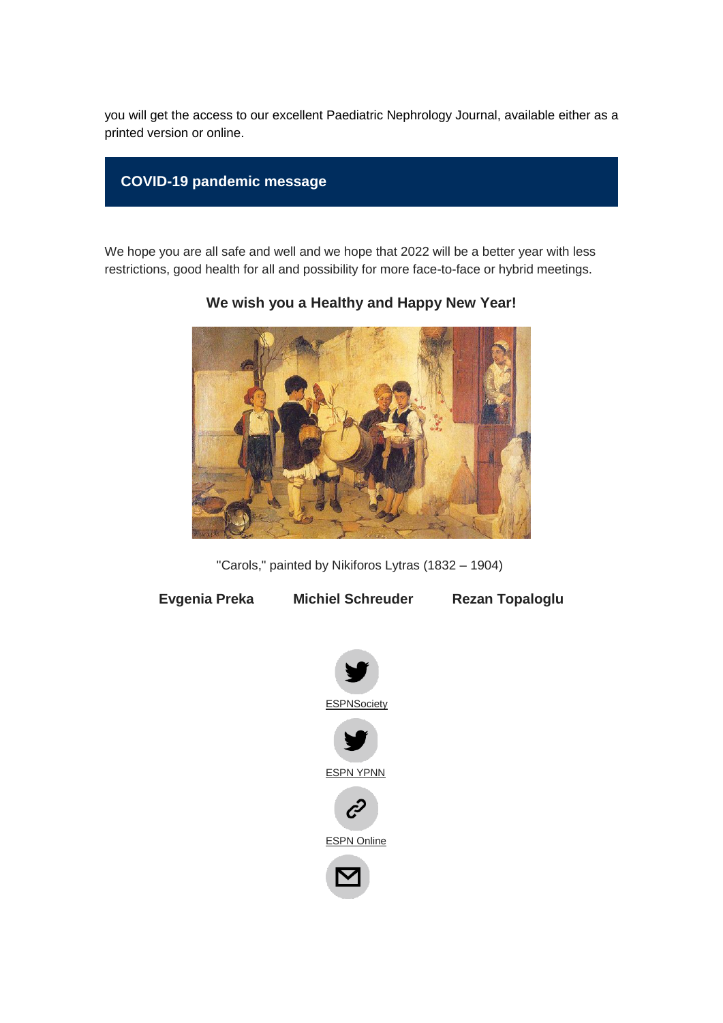you will get the access to our excellent Paediatric Nephrology Journal, available either as a printed version or online.

# **COVID-19 pandemic message**

We hope you are all safe and well and we hope that 2022 will be a better year with less restrictions, good health for all and possibility for more face-to-face or hybrid meetings.



## **We wish you a Healthy and Happy New Year!**

''Carols," painted by Nikiforos Lytras (1832 – 1904)

**Evgenia Preka Michiel Schreuder Rezan Topaloglu**